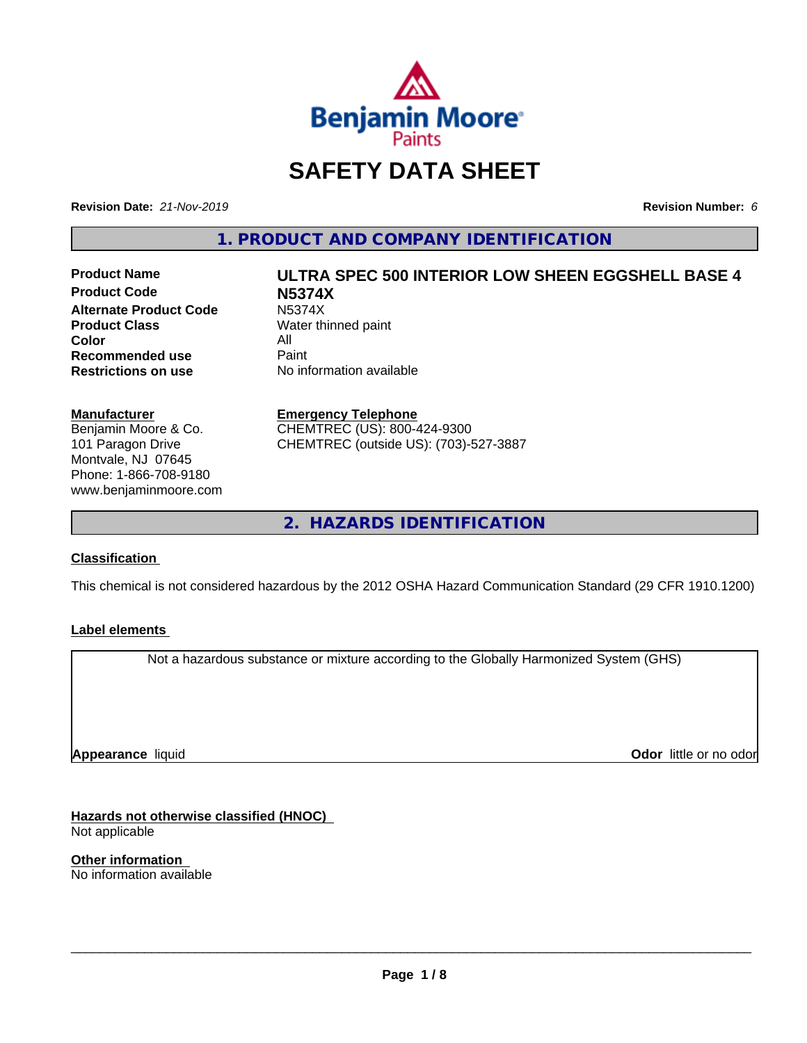

## **SAFETY DATA SHEET**

**Revision Date:** *21-Nov-2019* **Revision Number:** *6*

**1. PRODUCT AND COMPANY IDENTIFICATION**

**Product Code N5374X Alternate Product Code** N5374X<br> **Product Class** Water th **Color** All<br> **Recommended use** Paint **Recommended use**<br>Restrictions on use

# **Product Name ULTRA SPEC 500 INTERIOR LOW SHEEN EGGSHELL BASE 4**

**Water thinned paint No information available** 

#### **Manufacturer**

Benjamin Moore & Co. 101 Paragon Drive Montvale, NJ 07645 Phone: 1-866-708-9180 www.benjaminmoore.com

#### **Emergency Telephone**

CHEMTREC (US): 800-424-9300 CHEMTREC (outside US): (703)-527-3887

**2. HAZARDS IDENTIFICATION**

#### **Classification**

This chemical is not considered hazardous by the 2012 OSHA Hazard Communication Standard (29 CFR 1910.1200)

#### **Label elements**

Not a hazardous substance or mixture according to the Globally Harmonized System (GHS)

**Appearance** liquid

**Odor** little or no odor

**Hazards not otherwise classified (HNOC)** Not applicable

**Other information** No information available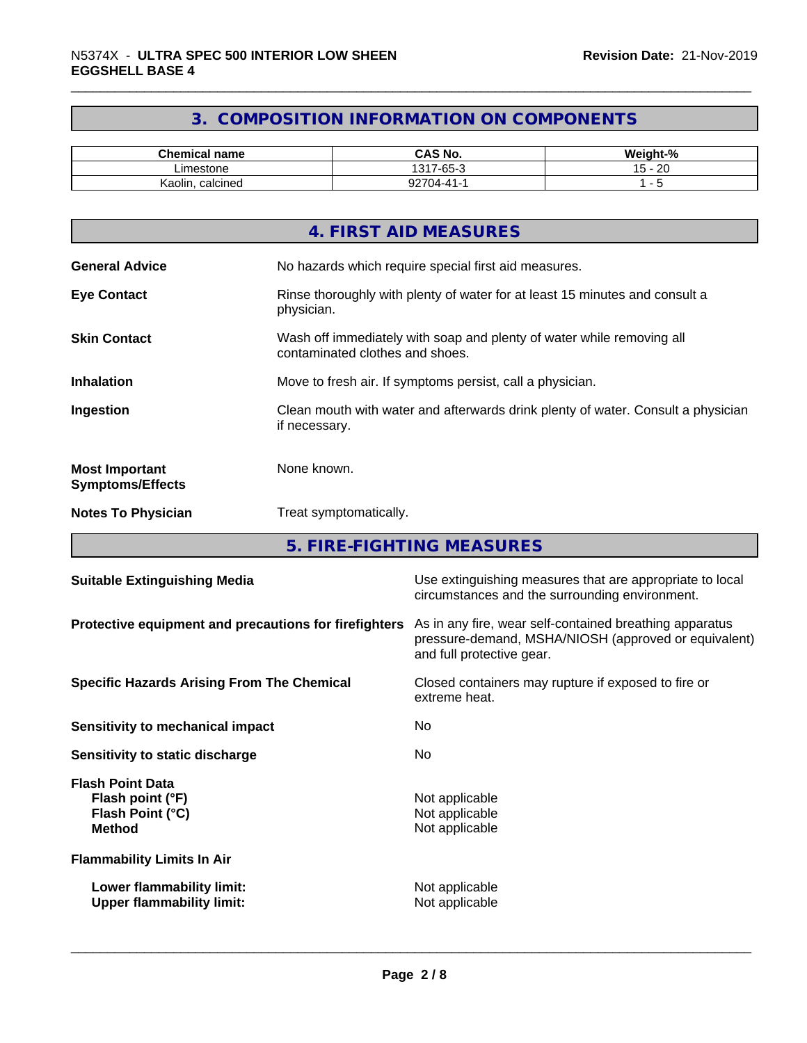#### **3. COMPOSITION INFORMATION ON COMPONENTS**

| <b>Chemical name</b> | CAS No.<br>r٨                                         | <br>$\sim$<br>.√eiqht-'<br>- 70 |
|----------------------|-------------------------------------------------------|---------------------------------|
| ∟imestone            | $\sim$<br>1317<br>$\overline{\phantom{a}}$<br>' -ხხ-ა | ററ<br>. .<br>∽<br>∠⊾<br>◡       |
| , calcined<br>Kaolin | ^^7^<br>.04-41-1                                      |                                 |

|                                                  | 4. FIRST AID MEASURES                                                                                    |
|--------------------------------------------------|----------------------------------------------------------------------------------------------------------|
| <b>General Advice</b>                            | No hazards which require special first aid measures.                                                     |
| <b>Eye Contact</b>                               | Rinse thoroughly with plenty of water for at least 15 minutes and consult a<br>physician.                |
| <b>Skin Contact</b>                              | Wash off immediately with soap and plenty of water while removing all<br>contaminated clothes and shoes. |
| <b>Inhalation</b>                                | Move to fresh air. If symptoms persist, call a physician.                                                |
| Ingestion                                        | Clean mouth with water and afterwards drink plenty of water. Consult a physician<br>if necessary.        |
| <b>Most Important</b><br><b>Symptoms/Effects</b> | None known.                                                                                              |
| <b>Notes To Physician</b>                        | Treat symptomatically.                                                                                   |
|                                                  |                                                                                                          |

**5. FIRE-FIGHTING MEASURES**

| <b>Suitable Extinguishing Media</b>                                              | Use extinguishing measures that are appropriate to local<br>circumstances and the surrounding environment.                                   |
|----------------------------------------------------------------------------------|----------------------------------------------------------------------------------------------------------------------------------------------|
| Protective equipment and precautions for firefighters                            | As in any fire, wear self-contained breathing apparatus<br>pressure-demand, MSHA/NIOSH (approved or equivalent)<br>and full protective gear. |
| <b>Specific Hazards Arising From The Chemical</b>                                | Closed containers may rupture if exposed to fire or<br>extreme heat.                                                                         |
| Sensitivity to mechanical impact                                                 | No.                                                                                                                                          |
| Sensitivity to static discharge                                                  | No.                                                                                                                                          |
| <b>Flash Point Data</b><br>Flash point (°F)<br>Flash Point (°C)<br><b>Method</b> | Not applicable<br>Not applicable<br>Not applicable                                                                                           |
| <b>Flammability Limits In Air</b>                                                |                                                                                                                                              |
| Lower flammability limit:<br><b>Upper flammability limit:</b>                    | Not applicable<br>Not applicable                                                                                                             |
|                                                                                  |                                                                                                                                              |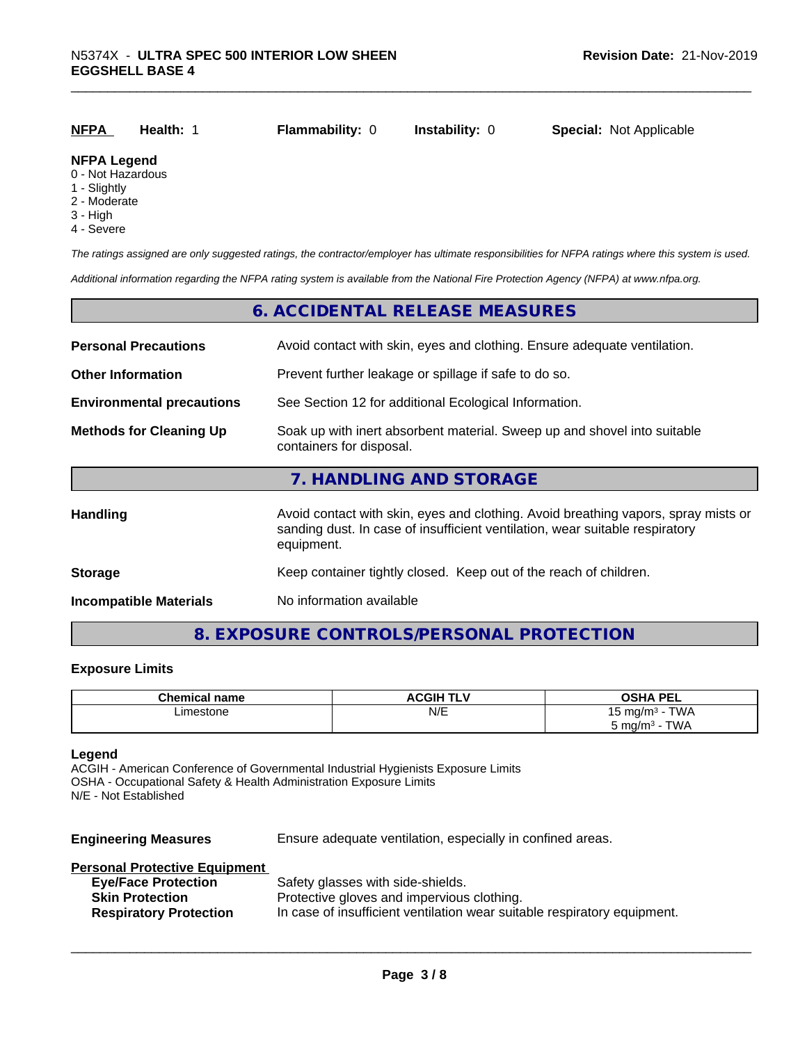| <b>NFPA</b>        | Health: | <b>Flammability: 0</b> | <b>Instability: 0</b> | <b>Special: Not Applicable</b> |
|--------------------|---------|------------------------|-----------------------|--------------------------------|
| <b>NFPA Legend</b> |         |                        |                       |                                |

#### 0 - Not Hazardous

- 1 Slightly
- 2 Moderate
- 3 High
- 4 Severe

*The ratings assigned are only suggested ratings, the contractor/employer has ultimate responsibilities for NFPA ratings where this system is used.*

*Additional information regarding the NFPA rating system is available from the National Fire Protection Agency (NFPA) at www.nfpa.org.*

#### **6. ACCIDENTAL RELEASE MEASURES**

| <b>Personal Precautions</b>      | Avoid contact with skin, eyes and clothing. Ensure adequate ventilation.                                                                                                         |  |  |
|----------------------------------|----------------------------------------------------------------------------------------------------------------------------------------------------------------------------------|--|--|
| <b>Other Information</b>         | Prevent further leakage or spillage if safe to do so.                                                                                                                            |  |  |
| <b>Environmental precautions</b> | See Section 12 for additional Ecological Information.                                                                                                                            |  |  |
| <b>Methods for Cleaning Up</b>   | Soak up with inert absorbent material. Sweep up and shovel into suitable<br>containers for disposal.                                                                             |  |  |
|                                  | 7. HANDLING AND STORAGE                                                                                                                                                          |  |  |
| Handling                         | Avoid contact with skin, eyes and clothing. Avoid breathing vapors, spray mists or<br>sanding dust. In case of insufficient ventilation, wear suitable respiratory<br>equipment. |  |  |
| <b>Storage</b>                   | Keep container tightly closed. Keep out of the reach of children.                                                                                                                |  |  |
| <b>Incompatible Materials</b>    | No information available                                                                                                                                                         |  |  |

#### **8. EXPOSURE CONTROLS/PERSONAL PROTECTION**

#### **Exposure Limits**

| <b>Chemical name</b> | <b>ACGIH TLV</b> | <b>OSHA PEL</b>                    |
|----------------------|------------------|------------------------------------|
| Limestone<br>.       | N/E              | <b>TWA</b><br>⊤ma/m∘ -             |
|                      |                  | TWA<br>ີວ mg/m <sup>∢</sup><br>. . |

#### **Legend**

ACGIH - American Conference of Governmental Industrial Hygienists Exposure Limits OSHA - Occupational Safety & Health Administration Exposure Limits N/E - Not Established

**Engineering Measures** Ensure adequate ventilation, especially in confined areas.

#### **Personal Protective Equipment**

| <b>Eye/Face Protection</b>    | Safety glasses with side-shields.                                        |
|-------------------------------|--------------------------------------------------------------------------|
| <b>Skin Protection</b>        | Protective gloves and impervious clothing.                               |
| <b>Respiratory Protection</b> | In case of insufficient ventilation wear suitable respiratory equipment. |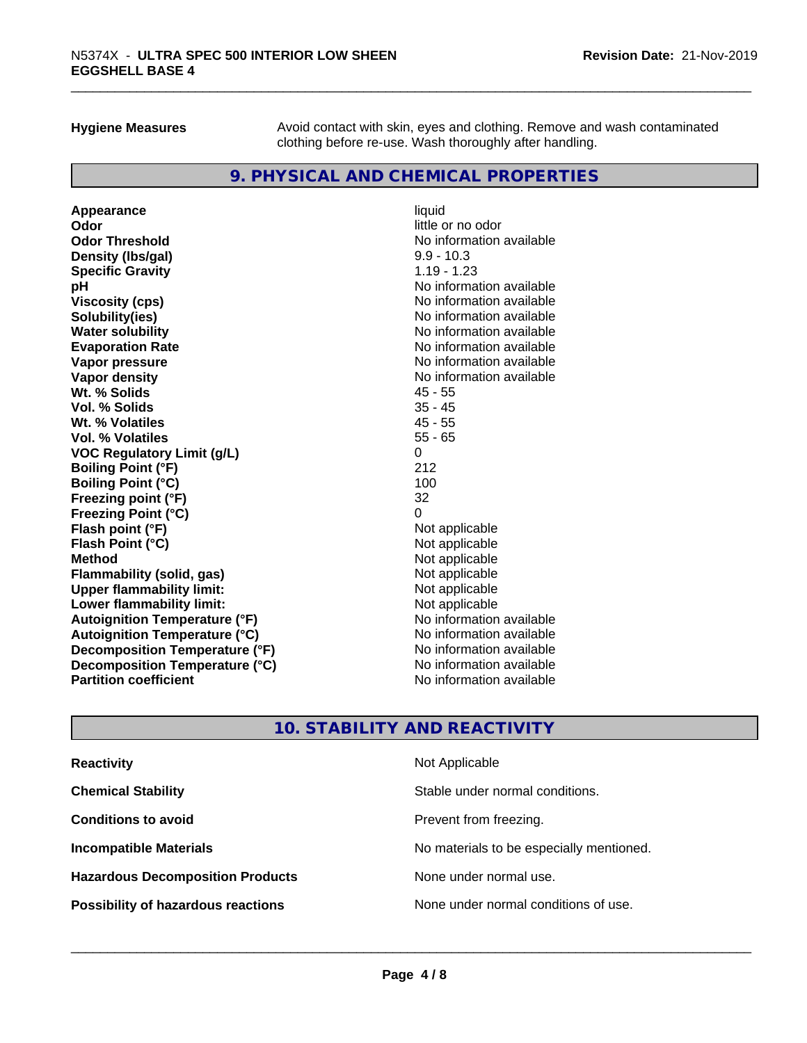**Hygiene Measures** Avoid contact with skin, eyes and clothing. Remove and wash contaminated clothing before re-use. Wash thoroughly after handling.

#### **9. PHYSICAL AND CHEMICAL PROPERTIES**

**Appearance** liquid **Odor** little or no odor **Odor Threshold**<br> **Density (Ibs/gal)**<br> **Density (Ibs/gal)**<br> **Density (Ibs/gal)**<br> **Density (Ibs/gal) Density (lbs/gal) Specific Gravity** 1.19 - 1.23 **pH**<br>
Viscosity (cps) The Contract of the Contract of the Viscosity (cps) and Viscosity (cps) **Solubility(ies)** No information available **Water solubility Mater Solubility**<br> **Evaporation Rate** Mate No information available **Vapor pressure** No information available **Vapor density Vapor density No information available Wt. % Solids** 45 - 55 **Vol. % Solids** 35 - 45 **Wt. % Volatiles Vol. % Volatiles** 55 - 65 **VOC Regulatory Limit (g/L)** 0 **Boiling Point (°F)** 212 **Boiling Point (°C)** 100 **Freezing point (°F)** 32 **Freezing Point (°C)** 0 **Flash point (°F)**<br> **Flash Point (°C)**<br> **Flash Point (°C)**<br> **C Flash Point (°C) Method** Not applicable **Flammability (solid, gas)** Not applicable Not applicable<br>
Upper flammability limit: Not applicable **Upper flammability limit:**<br> **Lower flammability limit:**<br>
Not applicable<br>
Not applicable **Lower flammability limit: Autoignition Temperature (°F)**<br> **Autoignition Temperature (°C)**<br> **Autoignition Temperature (°C)**<br>
Mo information available **Autoignition Temperature (°C) Decomposition Temperature (°F)** No information available **Decomposition Temperature (°C)**<br> **Partition coefficient**<br> **Partition coefficient**<br> **No** information available

**Viscosity (cps)** No information available **Evaporation Rate** No information available **No information available** 

#### **10. STABILITY AND REACTIVITY**

| <b>Reactivity</b>                         | Not Applicable                           |
|-------------------------------------------|------------------------------------------|
| <b>Chemical Stability</b>                 | Stable under normal conditions.          |
| <b>Conditions to avoid</b>                | Prevent from freezing.                   |
| <b>Incompatible Materials</b>             | No materials to be especially mentioned. |
| <b>Hazardous Decomposition Products</b>   | None under normal use.                   |
| <b>Possibility of hazardous reactions</b> | None under normal conditions of use.     |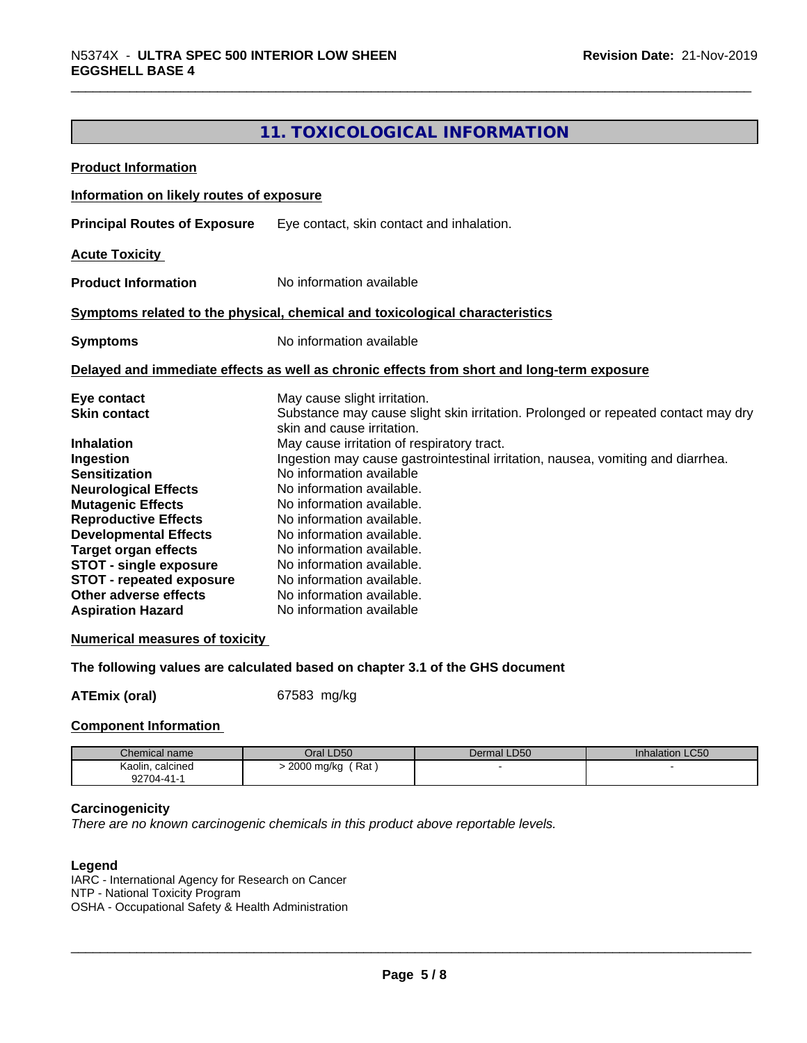### **11. TOXICOLOGICAL INFORMATION**

| <b>Product Information</b>                                                                            |                                                                                 |                                           |                                                                                   |  |
|-------------------------------------------------------------------------------------------------------|---------------------------------------------------------------------------------|-------------------------------------------|-----------------------------------------------------------------------------------|--|
| Information on likely routes of exposure                                                              |                                                                                 |                                           |                                                                                   |  |
| <b>Principal Routes of Exposure</b>                                                                   |                                                                                 | Eye contact, skin contact and inhalation. |                                                                                   |  |
| <b>Acute Toxicity</b>                                                                                 |                                                                                 |                                           |                                                                                   |  |
|                                                                                                       |                                                                                 |                                           |                                                                                   |  |
| <b>Product Information</b>                                                                            | No information available                                                        |                                           |                                                                                   |  |
| Symptoms related to the physical, chemical and toxicological characteristics                          |                                                                                 |                                           |                                                                                   |  |
| <b>Symptoms</b>                                                                                       | No information available                                                        |                                           |                                                                                   |  |
| Delayed and immediate effects as well as chronic effects from short and long-term exposure            |                                                                                 |                                           |                                                                                   |  |
| Eye contact                                                                                           | May cause slight irritation.                                                    |                                           |                                                                                   |  |
| <b>Skin contact</b>                                                                                   |                                                                                 |                                           | Substance may cause slight skin irritation. Prolonged or repeated contact may dry |  |
|                                                                                                       | skin and cause irritation.                                                      |                                           |                                                                                   |  |
| <b>Inhalation</b>                                                                                     | May cause irritation of respiratory tract.                                      |                                           |                                                                                   |  |
| Ingestion                                                                                             | Ingestion may cause gastrointestinal irritation, nausea, vomiting and diarrhea. |                                           |                                                                                   |  |
| <b>Sensitization</b>                                                                                  | No information available                                                        |                                           |                                                                                   |  |
| <b>Neurological Effects</b>                                                                           | No information available.                                                       |                                           |                                                                                   |  |
| <b>Mutagenic Effects</b>                                                                              | No information available.                                                       |                                           |                                                                                   |  |
| <b>Reproductive Effects</b>                                                                           | No information available.                                                       |                                           |                                                                                   |  |
| <b>Developmental Effects</b>                                                                          | No information available.                                                       |                                           |                                                                                   |  |
| <b>Target organ effects</b>                                                                           | No information available.                                                       |                                           |                                                                                   |  |
| <b>STOT - single exposure</b>                                                                         | No information available.                                                       |                                           |                                                                                   |  |
| <b>STOT - repeated exposure</b>                                                                       | No information available.                                                       |                                           |                                                                                   |  |
| Other adverse effects                                                                                 | No information available.                                                       |                                           |                                                                                   |  |
| <b>Aspiration Hazard</b>                                                                              | No information available                                                        |                                           |                                                                                   |  |
| <b>Numerical measures of toxicity</b>                                                                 |                                                                                 |                                           |                                                                                   |  |
| The following values are calculated based on chapter 3.1 of the GHS document                          |                                                                                 |                                           |                                                                                   |  |
| <b>ATEmix (oral)</b>                                                                                  | 67583 mg/kg                                                                     |                                           |                                                                                   |  |
|                                                                                                       |                                                                                 |                                           |                                                                                   |  |
| <b>Component Information</b>                                                                          |                                                                                 |                                           |                                                                                   |  |
| Chemical name                                                                                         | Oral LD50                                                                       | Dermal LD50                               | <b>Inhalation LC50</b>                                                            |  |
| Kaolin, calcined<br>92704-41-1                                                                        | > 2000 mg/kg (Rat)                                                              |                                           |                                                                                   |  |
| Carcinogenicity<br>There are no known carcinogenic chemicals in this product above reportable levels. |                                                                                 |                                           |                                                                                   |  |

#### **Legend**

IARC - International Agency for Research on Cancer NTP - National Toxicity Program OSHA - Occupational Safety & Health Administration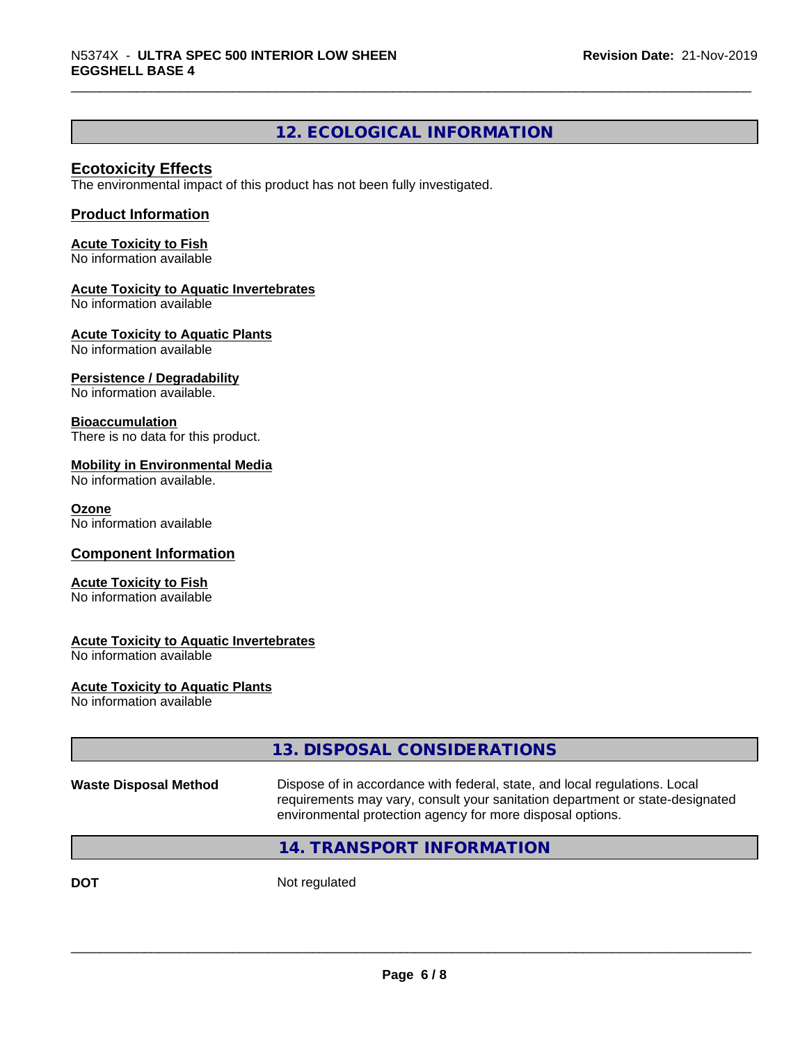#### **12. ECOLOGICAL INFORMATION**

#### **Ecotoxicity Effects**

The environmental impact of this product has not been fully investigated.

#### **Product Information**

**Acute Toxicity to Fish** No information available

#### **Acute Toxicity to Aquatic Invertebrates**

No information available

**Acute Toxicity to Aquatic Plants**

No information available

#### **Persistence / Degradability**

No information available.

#### **Bioaccumulation**

There is no data for this product.

#### **Mobility in Environmental Media**

No information available.

#### **Ozone**

No information available

#### **Component Information**

#### **Acute Toxicity to Fish**

No information available

#### **Acute Toxicity to Aquatic Invertebrates**

No information available

#### **Acute Toxicity to Aquatic Plants**

No information available

| Not regulated<br><b>DOT</b>                                                                                                                                                                                                                               |  |
|-----------------------------------------------------------------------------------------------------------------------------------------------------------------------------------------------------------------------------------------------------------|--|
| 14. TRANSPORT INFORMATION                                                                                                                                                                                                                                 |  |
| Dispose of in accordance with federal, state, and local regulations. Local<br><b>Waste Disposal Method</b><br>requirements may vary, consult your sanitation department or state-designated<br>environmental protection agency for more disposal options. |  |
| 13. DISPOSAL CONSIDERATIONS                                                                                                                                                                                                                               |  |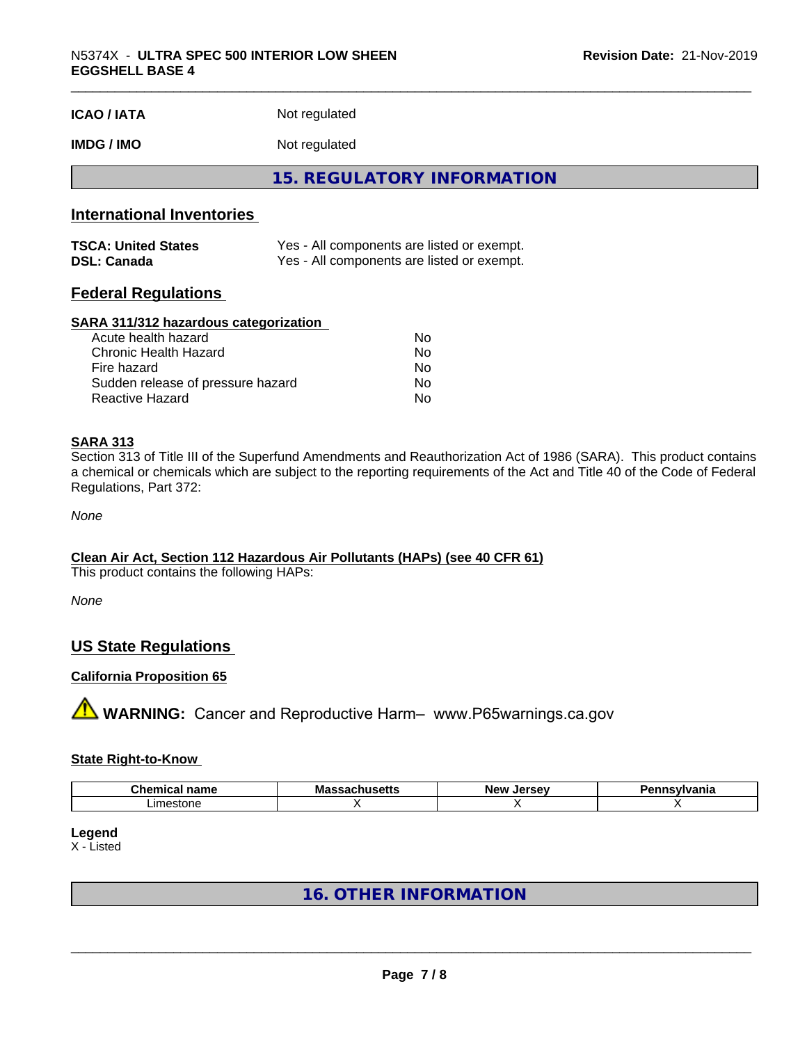| <b>ICAO/IATA</b> | Not regulated |
|------------------|---------------|
|------------------|---------------|

**IMDG / IMO** Not regulated

**15. REGULATORY INFORMATION**

#### **International Inventories**

| <b>TSCA: United States</b> | Yes - All components are listed or exempt. |
|----------------------------|--------------------------------------------|
| <b>DSL: Canada</b>         | Yes - All components are listed or exempt. |

#### **Federal Regulations**

#### **SARA 311/312 hazardous categorization**

| Acute health hazard               | No  |  |
|-----------------------------------|-----|--|
| Chronic Health Hazard             | No. |  |
| Fire hazard                       | No  |  |
| Sudden release of pressure hazard | Nο  |  |
| Reactive Hazard                   | Nο  |  |

#### **SARA 313**

Section 313 of Title III of the Superfund Amendments and Reauthorization Act of 1986 (SARA). This product contains a chemical or chemicals which are subject to the reporting requirements of the Act and Title 40 of the Code of Federal Regulations, Part 372:

*None*

#### **Clean Air Act,Section 112 Hazardous Air Pollutants (HAPs) (see 40 CFR 61)**

This product contains the following HAPs:

*None*

#### **US State Regulations**

#### **California Proposition 65**

**A WARNING:** Cancer and Reproductive Harm– www.P65warnings.ca.gov

#### **State Right-to-Know**

| `hemical name<br>.              | <b>Mass</b><br>.<br>пиэспэ | IAFAAN<br>Ne۱<br>ıa<br>Jer<br>. . | <u>dvania</u> |
|---------------------------------|----------------------------|-----------------------------------|---------------|
| $\sim$ 1000 $\sim$<br>∟imestone |                            |                                   |               |

**Legend**

X - Listed

**16. OTHER INFORMATION**